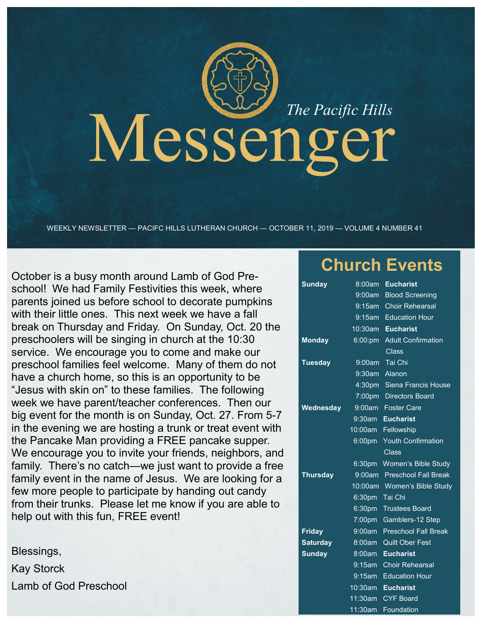# Messenger

WEEKLY NEWSLETTER — PACIFC HILLS LUTHERAN CHURCH — OCTOBER 11, 2019 — VOLUME 4 NUMBER 41

October is a busy month around Lamb of God Preschool! We had Family Festivities this week, where parents joined us before school to decorate pumpkins with their little ones. This next week we have a fall break on Thursday and Friday. On Sunday, Oct. 20 the preschoolers will be singing in church at the 10:30 service. We encourage you to come and make our preschool families feel welcome. Many of them do not have a church home, so this is an opportunity to be "Jesus with skin on" to these families. The following week we have parent/teacher conferences. Then our big event for the month is on Sunday, Oct. 27. From 5-7 in the evening we are hosting a trunk or treat event with the Pancake Man providing a FREE pancake supper. We encourage you to invite your friends, neighbors, and family. There's no catch—we just want to provide a free family event in the name of Jesus. We are looking for a few more people to participate by handing out candy from their trunks. Please let me know if you are able to help out with this fun, FREE event!

Blessings, Kay Storck Lamb of God Preschool

# **Church Events**

| <u>Sun</u> day  | 8:00am             | <b>Eucharist</b>            |
|-----------------|--------------------|-----------------------------|
|                 | 9:00am             | <b>Blood Screening</b>      |
|                 | $9:15$ am          | <b>Choir Rehearsal</b>      |
|                 | 9:15am             | <b>Education Hour</b>       |
|                 | 10:30am            | <b>Eucharist</b>            |
| <b>Monday</b>   | 6:00:pm            | <b>Adult Confirmation</b>   |
|                 |                    | <b>Class</b>                |
| <b>Tuesday</b>  | 9:00am             | Tai Chi                     |
|                 | $9:30$ am          | Alanon                      |
|                 |                    | 4:30pm Siena Francis House  |
|                 | 7:00pm             | <b>Directors Board</b>      |
| Wednesday       | 9:00am             | <b>Foster Care</b>          |
|                 | $9:30$ am          | <b>Eucharist</b>            |
|                 | 10:00am            | Fellowship                  |
|                 | 6:00pm             | <b>Youth Confirmation</b>   |
|                 |                    | Class                       |
|                 | 6:30pm             | Women's Bible Study         |
| <b>Thursday</b> | 9:00am             | <b>Preschool Fall Break</b> |
|                 | $10:00$ am         | Women's Bible Study         |
|                 | 6:30 <sub>pm</sub> | Tai Chi                     |
|                 | 6:30 <sub>pm</sub> | <b>Trustees Board</b>       |
|                 | 7:00pm             | Gamblers-12 Step            |
| <b>Friday</b>   | 9:00am             | <b>Preschool Fall Break</b> |
| <b>Saturday</b> | 8:00am             | <b>Quilt Ober Fest</b>      |
| <b>Sunday</b>   | 8:00am             | <b>Eucharist</b>            |
|                 | 9:15am             | <b>Choir Rehearsal</b>      |
|                 | 9:15am             | <b>Education Hour</b>       |
|                 | 10:30am            | <b>Eucharist</b>            |
|                 | 11:30am            | <b>CYF Board</b>            |

11:30am Foundation